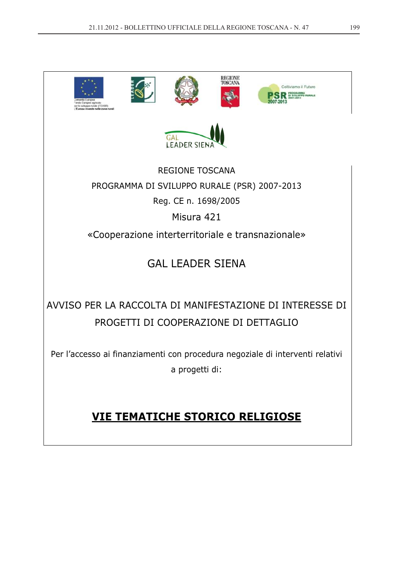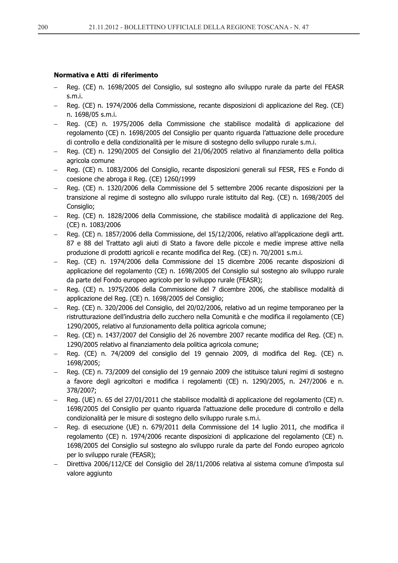# Normativa e Atti di riferimento

- Reg. (CE) n. 1698/2005 del Consiglio, sul sostegno allo sviluppo rurale da parte del FEASR s.m.i.
- Reg. (CE) n. 1974/2006 della Commissione, recante disposizioni di applicazione del Reg. (CE) n. 1698/05 s.m.i.
- Reg. (CE) n. 1975/2006 della Commissione che stabilisce modalità di applicazione del regolamento (CE) n. 1698/2005 del Consiglio per quanto riguarda l'attuazione delle procedure di controllo e della condizionalità per le misure di sostegno dello sviluppo rurale s.m.i.
- Reg. (CE) n. 1290/2005 del Consiglio del 21/06/2005 relativo al finanziamento della politica agricola comune
- Reg. (CE) n. 1083/2006 del Consiglio, recante disposizioni generali sul FESR, FES e Fondo di coesione che abroga il Reg. (CE) 1260/1999
- Reg. (CE) n. 1320/2006 della Commissione del 5 settembre 2006 recante disposizioni per la transizione al regime di sostegno allo sviluppo rurale istituito dal Reg. (CE) n. 1698/2005 del Consiglio;
- Reg. (CE) n. 1828/2006 della Commissione, che stabilisce modalità di applicazione del Reg. (CE) n. 1083/2006
- Reg. (CE) n. 1857/2006 della Commissione, del 15/12/2006, relativo all'applicazione degli artt. 87 e 88 del Trattato agli aiuti di Stato a favore delle piccole e medie imprese attive nella produzione di prodotti agricoli e recante modifica del Reg. (CE) n. 70/2001 s.m.i.
- Req. (CE) n. 1974/2006 della Commissione del 15 dicembre 2006 recante disposizioni di applicazione del regolamento (CE) n. 1698/2005 del Consiglio sul sostegno alo sviluppo rurale da parte del Fondo europeo agricolo per lo sviluppo rurale (FEASR);
- Reg. (CE) n. 1975/2006 della Commissione del 7 dicembre 2006, che stabilisce modalità di applicazione del Reg. (CE) n. 1698/2005 del Consiglio;
- Reg. (CE) n. 320/2006 del Consiglio, del 20/02/2006, relativo ad un regime temporaneo per la ristrutturazione dell'industria dello zucchero nella Comunità e che modifica il regolamento (CE) 1290/2005, relativo al funzionamento della politica agricola comune:
- Reg. (CE) n. 1437/2007 del Consiglio del 26 novembre 2007 recante modifica del Reg. (CE) n. 1290/2005 relativo al finanziamento dela politica agricola comune;
- Reg. (CE) n. 74/2009 del consiglio del 19 gennaio 2009, di modifica del Reg. (CE) n. 1698/2005;
- Reg. (CE) n. 73/2009 del consiglio del 19 gennaio 2009 che istituisce taluni regimi di sostegno a favore degli agricoltori e modifica i regolamenti (CE) n. 1290/2005, n. 247/2006 e n. 378/2007;
- Reg. (UE) n. 65 del 27/01/2011 che stabilisce modalità di applicazione del regolamento (CE) n. 1698/2005 del Consiglio per quanto riguarda l'attuazione delle procedure di controllo e della condizionalità per le misure di sostegno dello sviluppo rurale s.m.i.
- Reg. di esecuzione (UE) n. 679/2011 della Commissione del 14 luglio 2011, che modifica il regolamento (CE) n. 1974/2006 recante disposizioni di applicazione del regolamento (CE) n. 1698/2005 del Consiglio sul sostegno alo sviluppo rurale da parte del Fondo europeo agricolo per lo sviluppo rurale (FEASR);
- Direttiva 2006/112/CE del Consiglio del 28/11/2006 relativa al sistema comune d'imposta sul valore aggiunto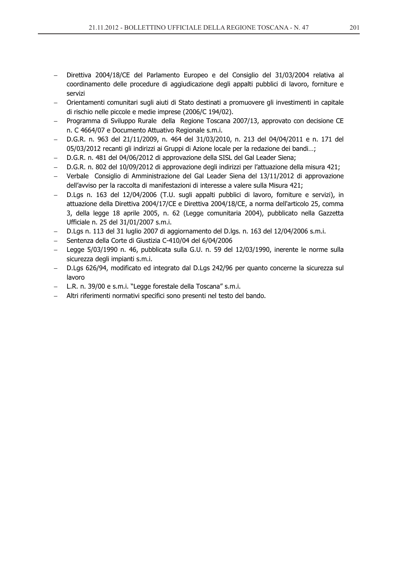- Direttiva 2004/18/CE del Parlamento Europeo e del Consiglio del 31/03/2004 relativa al coordinamento delle procedure di aggiudicazione degli appalti pubblici di lavoro, forniture e servizi
- Orientamenti comunitari sugli aiuti di Stato destinati a promuovere gli investimenti in capitale di rischio nelle piccole e medie imprese (2006/C 194/02).
- Programma di Sviluppo Rurale della Regione Toscana 2007/13, approvato con decisione CE  $\sim$   $$ n. C 4664/07 e Documento Attuativo Regionale s.m.i.
- D.G.R. n. 963 del 21/11/2009, n. 464 del 31/03/2010, n. 213 del 04/04/2011 e n. 171 del 05/03/2012 recanti gli indirizzi ai Gruppi di Azione locale per la redazione dei bandi...;
- D.G.R. n. 481 del 04/06/2012 di approvazione della SISL del Gal Leader Siena:
- D.G.R. n. 802 del 10/09/2012 di approvazione degli indirizzi per l'attuazione della misura 421;
- Verbale Consiglio di Amministrazione del Gal Leader Siena del 13/11/2012 di approvazione dell'avviso per la raccolta di manifestazioni di interesse a valere sulla Misura 421;
- D.Lqs n. 163 del 12/04/2006 (T.U. sugli appalti pubblici di lavoro, forniture e servizi), in attuazione della Direttiva 2004/17/CE e Direttiva 2004/18/CE, a norma dell'articolo 25, comma 3, della legge 18 aprile 2005, n. 62 (Legge comunitaria 2004), pubblicato nella Gazzetta Ufficiale n. 25 del 31/01/2007 s.m.i.
- D.Lgs n. 113 del 31 luglio 2007 di aggiornamento del D.lgs. n. 163 del 12/04/2006 s.m.i.
- Sentenza della Corte di Giustizia C-410/04 del 6/04/2006
- Legge 5/03/1990 n. 46, pubblicata sulla G.U. n. 59 del 12/03/1990, inerente le norme sulla sicurezza degli impianti s.m.i.
- D.Lqs 626/94, modificato ed integrato dal D.Lqs 242/96 per quanto concerne la sicurezza sul lavoro
- L.R. n. 39/00 e s.m.i. "Legge forestale della Toscana" s.m.i.
- Altri riferimenti normativi specifici sono presenti nel testo del bando.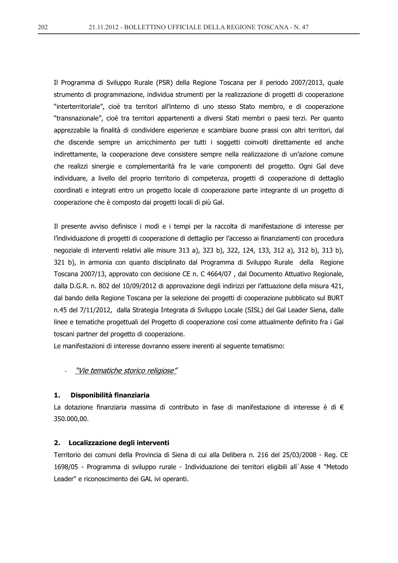Il Programma di Sviluppo Rurale (PSR) della Regione Toscana per il periodo 2007/2013, quale strumento di programmazione, individua strumenti per la realizzazione di progetti di cooperazione "interterritoriale", cioè tra territori all'interno di uno stesso Stato membro, e di cooperazione "transnazionale", cioè tra territori appartenenti a diversi Stati membri o paesi terzi. Per quanto apprezzabile la finalità di condividere esperienze e scambiare buone prassi con altri territori, dal che discende sempre un arricchimento per tutti i soggetti coinvolti direttamente ed anche indirettamente, la cooperazione deve consistere sempre nella realizzazione di un'azione comune che realizzi sinergie e complementarità fra le varie componenti del progetto. Ogni Gal deve individuare, a livello del proprio territorio di competenza, progetti di cooperazione di dettaglio coordinati e integrati entro un progetto locale di cooperazione parte integrante di un progetto di cooperazione che è composto dai progetti locali di più Gal.

Il presente avviso definisce i modi e i tempi per la raccolta di manifestazione di interesse per l'individuazione di progetti di cooperazione di dettaglio per l'accesso ai finanziamenti con procedura negoziale di interventi relativi alle misure 313 a), 323 b), 322, 124, 133, 312 a), 312 b), 313 b), 321 b), in armonia con quanto disciplinato dal Programma di Sviluppo Rurale della Regione Toscana 2007/13, approvato con decisione CE n. C 4664/07, dal Documento Attuativo Regionale, dalla D.G.R. n. 802 del 10/09/2012 di approvazione degli indirizzi per l'attuazione della misura 421, dal bando della Regione Toscana per la selezione dei progetti di cooperazione pubblicato sul BURT n.45 del 7/11/2012, dalla Strategia Integrata di Sviluppo Locale (SISL) del Gal Leader Siena, dalle linee e tematiche progettuali del Progetto di cooperazione così come attualmente definito fra i Gal toscani partner del progetto di cooperazione.

Le manifestazioni di interesse dovranno essere inerenti al seguente tematismo:

# "Vie tematiche storico religiose"

#### Disponibilità finanziaria 1.

La dotazione finanziaria massima di contributo in fase di manifestazione di interesse è di  $\epsilon$ 350.000,00.

#### $2.$ Localizzazione degli interventi

Territorio dei comuni della Provincia di Siena di cui alla Delibera n. 216 del 25/03/2008 - Reg. CE 1698/05 - Programma di sviluppo rurale - Individuazione dei territori eligibili all'Asse 4 "Metodo" Leader" e riconoscimento dei GAL ivi operanti.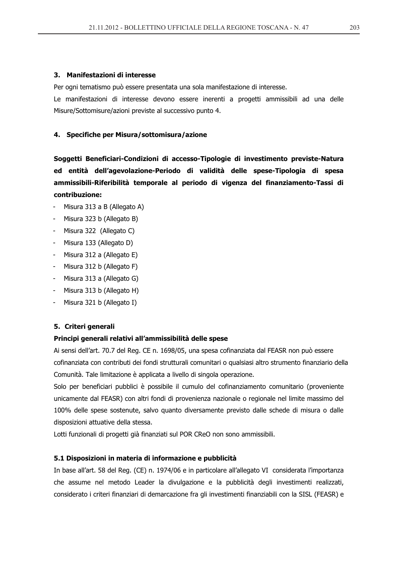### 3. Manifestazioni di interesse

Per ogni tematismo può essere presentata una sola manifestazione di interesse.

Le manifestazioni di interesse devono essere inerenti a progetti ammissibili ad una delle Misure/Sottomisure/azioni previste al successivo punto 4.

## 4. Specifiche per Misura/sottomisura/azione

Soggetti Beneficiari-Condizioni di accesso-Tipologie di investimento previste-Natura ed entità dell'agevolazione-Periodo di validità delle spese-Tipologia di spesa ammissibili-Riferibilità temporale al periodo di vigenza del finanziamento-Tassi di contribuzione:

- Misura 313 a B (Allegato A)
- Misura 323 b (Allegato B)
- Misura 322 (Allegato C)
- Misura 133 (Allegato D)
- Misura 312 a (Allegato E)
- Misura 312 b (Allegato F)
- Misura 313 a (Allegato G)
- Misura 313 b (Allegato H)
- Misura 321 b (Allegato I)

# 5. Criteri generali

## Principi generali relativi all'ammissibilità delle spese

Ai sensi dell'art. 70.7 del Reg. CE n. 1698/05, una spesa cofinanziata dal FEASR non può essere cofinanziata con contributi dei fondi strutturali comunitari o qualsiasi altro strumento finanziario della Comunità. Tale limitazione è applicata a livello di singola operazione.

Solo per beneficiari pubblici è possibile il cumulo del cofinanziamento comunitario (proveniente unicamente dal FEASR) con altri fondi di provenienza nazionale o regionale nel limite massimo del 100% delle spese sostenute, salvo quanto diversamente previsto dalle schede di misura o dalle disposizioni attuative della stessa.

Lotti funzionali di progetti già finanziati sul POR CReO non sono ammissibili.

### 5.1 Disposizioni in materia di informazione e pubblicità

In base all'art. 58 del Reg. (CE) n. 1974/06 e in particolare all'allegato VI considerata l'importanza che assume nel metodo Leader la divulgazione e la pubblicità degli investimenti realizzati, considerato i criteri finanziari di demarcazione fra gli investimenti finanziabili con la SISL (FEASR) e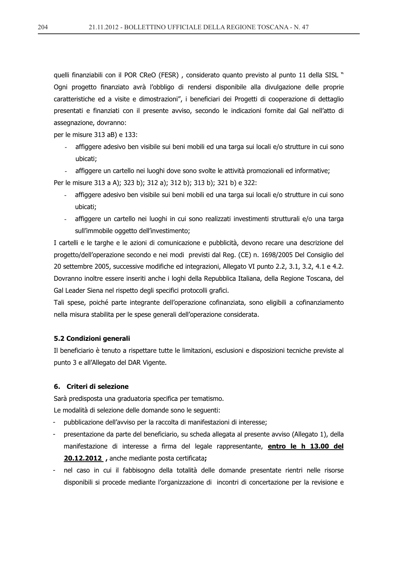quelli finanziabili con il POR CReO (FESR), considerato quanto previsto al punto 11 della SISL " Ogni progetto finanziato avrà l'obbligo di rendersi disponibile alla divulgazione delle proprie caratteristiche ed a visite e dimostrazioni", i beneficiari dei Progetti di cooperazione di dettaglio presentati e finanziati con il presente avviso, secondo le indicazioni fornite dal Gal nell'atto di assegnazione, dovranno:

per le misure 313 aB) e 133:

- affiggere adesivo ben visibile sui beni mobili ed una targa sui locali e/o strutture in cui sono ubicati:
- affiggere un cartello nei luoghi dove sono svolte le attività promozionali ed informative;

Per le misure 313 a A); 323 b); 312 a); 312 b); 313 b); 321 b) e 322:

- affiggere adesivo ben visibile sui beni mobili ed una targa sui locali e/o strutture in cui sono ubicati:
- affiggere un cartello nei luoghi in cui sono realizzati investimenti strutturali e/o una targa sull'immobile oggetto dell'investimento;

I cartelli e le targhe e le azioni di comunicazione e pubblicità, devono recare una descrizione del progetto/dell'operazione secondo e nei modi previsti dal Reg. (CE) n. 1698/2005 Del Consiglio del 20 settembre 2005, successive modifiche ed integrazioni, Allegato VI punto 2.2, 3.1, 3.2, 4.1 e 4.2. Dovranno inoltre essere inseriti anche i loghi della Repubblica Italiana, della Regione Toscana, del Gal Leader Siena nel rispetto degli specifici protocolli grafici.

Tali spese, poiché parte integrante dell'operazione cofinanziata, sono eligibili a cofinanziamento nella misura stabilita per le spese generali dell'operazione considerata.

## 5.2 Condizioni generali

Il beneficiario è tenuto a rispettare tutte le limitazioni, esclusioni e disposizioni tecniche previste al punto 3 e all'Allegato del DAR Vigente.

# 6. Criteri di selezione

Sarà predisposta una graduatoria specifica per tematismo.

Le modalità di selezione delle domande sono le sequenti:

- pubblicazione dell'avviso per la raccolta di manifestazioni di interesse;
- presentazione da parte del beneficiario, su scheda allegata al presente avviso (Allegato 1), della manifestazione di interesse a firma del legale rappresentante, **entro le h 13.00 del** 20.12.2012, anche mediante posta certificata;
- nel caso in cui il fabbisogno della totalità delle domande presentate rientri nelle risorse disponibili si procede mediante l'organizzazione di incontri di concertazione per la revisione e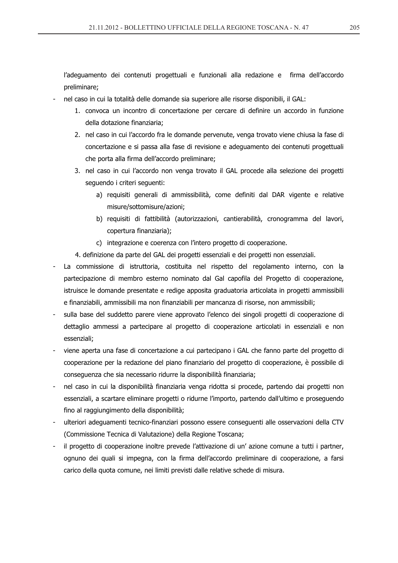l'adequamento dei contenuti progettuali e funzionali alla redazione e firma dell'accordo preliminare:

- nel caso in cui la totalità delle domande sia superiore alle risorse disponibili, il GAL:
	- 1. convoca un incontro di concertazione per cercare di definire un accordo in funzione della dotazione finanziaria;
	- 2. nel caso in cui l'accordo fra le domande pervenute, venga trovato viene chiusa la fase di concertazione e si passa alla fase di revisione e adeguamento dei contenuti progettuali che porta alla firma dell'accordo preliminare;
	- 3. nel caso in cui l'accordo non venga trovato il GAL procede alla selezione dei progetti seguendo i criteri seguenti:
		- a) requisiti generali di ammissibilità, come definiti dal DAR vigente e relative misure/sottomisure/azioni:
		- b) requisiti di fattibilità (autorizzazioni, cantierabilità, cronogramma del lavori, copertura finanziaria);
		- c) integrazione e coerenza con l'intero progetto di cooperazione.

4. definizione da parte del GAL dei progetti essenziali e dei progetti non essenziali.

- La commissione di istruttoria, costituita nel rispetto del regolamento interno, con la partecipazione di membro esterno nominato dal Gal capofila del Progetto di cooperazione, istruisce le domande presentate e redige apposita graduatoria articolata in progetti ammissibili e finanziabili, ammissibili ma non finanziabili per mancanza di risorse, non ammissibili;
- sulla base del suddetto parere viene approvato l'elenco dei singoli progetti di cooperazione di dettaglio ammessi a partecipare al progetto di cooperazione articolati in essenziali e non essenziali;
- viene aperta una fase di concertazione a cui partecipano i GAL che fanno parte del progetto di cooperazione per la redazione del piano finanziario del progetto di cooperazione, è possibile di conseguenza che sia necessario ridurre la disponibilità finanziaria;
- nel caso in cui la disponibilità finanziaria venga ridotta si procede, partendo dai progetti non essenziali, a scartare eliminare progetti o ridurne l'importo, partendo dall'ultimo e proseguendo fino al raggiungimento della disponibilità;
- ulteriori adequamenti tecnico-finanziari possono essere consequenti alle osservazioni della CTV (Commissione Tecnica di Valutazione) della Regione Toscana;
- il progetto di cooperazione inoltre prevede l'attivazione di un' azione comune a tutti i partner, ognuno dei quali si impegna, con la firma dell'accordo preliminare di cooperazione, a farsi carico della quota comune, nei limiti previsti dalle relative schede di misura.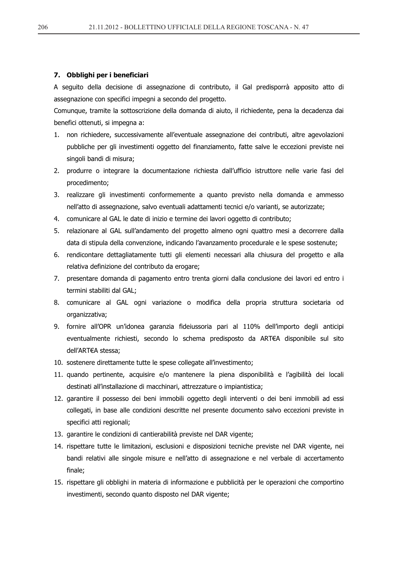### 7. Obblighi per i beneficiari

A sequito della decisione di assegnazione di contributo, il Gal predisporrà apposito atto di assegnazione con specifici impegni a secondo del progetto.

Comunque, tramite la sottoscrizione della domanda di aiuto, il richiedente, pena la decadenza dai benefici ottenuti, si impegna a:

- 1. non richiedere, successivamente all'eventuale assegnazione dei contributi, altre agevolazioni pubbliche per gli investimenti oggetto del finanziamento, fatte salve le eccezioni previste nei singoli bandi di misura;
- 2. produrre o integrare la documentazione richiesta dall'ufficio istruttore nelle varie fasi del procedimento;
- 3. realizzare gli investimenti conformemente a quanto previsto nella domanda e ammesso nell'atto di assegnazione, salvo eventuali adattamenti tecnici e/o varianti, se autorizzate;
- 4. comunicare al GAL le date di inizio e termine dei lavori oggetto di contributo;
- 5. relazionare al GAL sull'andamento del progetto almeno ogni quattro mesi a decorrere dalla data di stipula della convenzione, indicando l'avanzamento procedurale e le spese sostenute;
- 6. rendicontare dettagliatamente tutti gli elementi necessari alla chiusura del progetto e alla relativa definizione del contributo da erogare;
- 7. presentare domanda di pagamento entro trenta giorni dalla conclusione dei lavori ed entro i termini stabiliti dal GAL;
- 8. comunicare al GAL ogni variazione o modifica della propria struttura societaria od organizzativa;
- 9. fornire all'OPR un'idonea garanzia fideiussoria pari al 110% dell'importo degli anticipi eventualmente richiesti, secondo lo schema predisposto da ART€A disponibile sul sito dell'ART€A stessa;
- 10. sostenere direttamente tutte le spese collegate all'investimento;
- 11. quando pertinente, acquisire e/o mantenere la piena disponibilità e l'agibilità dei locali destinati all'installazione di macchinari, attrezzature o impiantistica;
- 12. garantire il possesso dei beni immobili oggetto degli interventi o dei beni immobili ad essi collegati, in base alle condizioni descritte nel presente documento salvo eccezioni previste in specifici atti regionali;
- 13. garantire le condizioni di cantierabilità previste nel DAR vigente;
- 14. rispettare tutte le limitazioni, esclusioni e disposizioni tecniche previste nel DAR vigente, nei bandi relativi alle singole misure e nell'atto di assegnazione e nel verbale di accertamento finale;
- 15. rispettare gli obblighi in materia di informazione e pubblicità per le operazioni che comportino investimenti, secondo quanto disposto nel DAR vigente;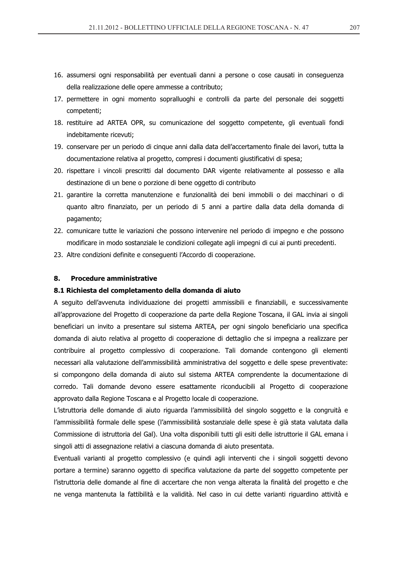- 16. assumersi ogni responsabilità per eventuali danni a persone o cose causati in conseguenza della realizzazione delle opere ammesse a contributo:
- 17. permettere in ogni momento sopralluoghi e controlli da parte del personale dei soggetti competenti;
- 18. restituire ad ARTEA OPR, su comunicazione del soggetto competente, gli eventuali fondi indebitamente ricevuti;
- 19. conservare per un periodo di cinque anni dalla data dell'accertamento finale dei lavori, tutta la documentazione relativa al progetto, compresi i documenti giustificativi di spesa;
- 20. rispettare i vincoli prescritti dal documento DAR vigente relativamente al possesso e alla destinazione di un bene o porzione di bene oggetto di contributo
- 21. garantire la corretta manutenzione e funzionalità dei beni immobili o dei macchinari o di quanto altro finanziato, per un periodo di 5 anni a partire dalla data della domanda di pagamento;
- 22. comunicare tutte le variazioni che possono intervenire nel periodo di impegno e che possono modificare in modo sostanziale le condizioni collegate agli impegni di cui ai punti precedenti.
- 23. Altre condizioni definite e consequenti l'Accordo di cooperazione.

#### 8. **Procedure amministrative**

### 8.1 Richiesta del completamento della domanda di aiuto

A sequito dell'avvenuta individuazione dei progetti ammissibili e finanziabili, e successivamente all'approvazione del Progetto di cooperazione da parte della Regione Toscana, il GAL invia ai singoli beneficiari un invito a presentare sul sistema ARTEA, per ogni singolo beneficiario una specifica domanda di aiuto relativa al progetto di cooperazione di dettaglio che si impegna a realizzare per contribuire al progetto complessivo di cooperazione. Tali domande contengono gli elementi necessari alla valutazione dell'ammissibilità amministrativa del soggetto e delle spese preventivate: si compongono della domanda di aiuto sul sistema ARTEA comprendente la documentazione di corredo. Tali domande devono essere esattamente riconducibili al Progetto di cooperazione approvato dalla Regione Toscana e al Progetto locale di cooperazione.

L'istruttoria delle domande di aiuto riguarda l'ammissibilità del singolo soggetto e la congruità e l'ammissibilità formale delle spese (l'ammissibilità sostanziale delle spese è già stata valutata dalla Commissione di istruttoria del Gal). Una volta disponibili tutti gli esiti delle istruttorie il GAL emana i singoli atti di assegnazione relativi a ciascuna domanda di aiuto presentata.

Eventuali varianti al progetto complessivo (e quindi agli interventi che i singoli soggetti devono portare a termine) saranno oggetto di specifica valutazione da parte del soggetto competente per l'istruttoria delle domande al fine di accertare che non venga alterata la finalità del progetto e che ne venga mantenuta la fattibilità e la validità. Nel caso in cui dette varianti riguardino attività e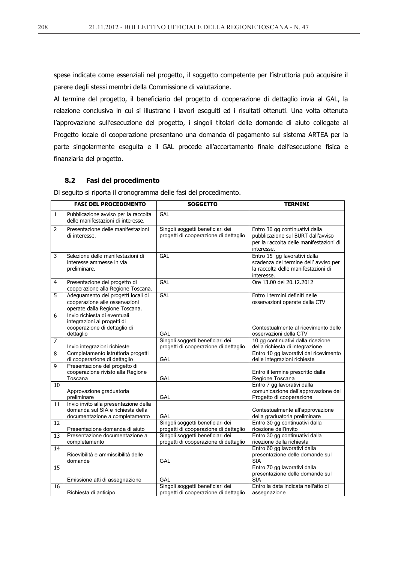spese indicate come essenziali nel progetto, il soggetto competente per l'istruttoria può acquisire il parere degli stessi membri della Commissione di valutazione.

Al termine del progetto, il beneficiario del progetto di cooperazione di dettaglio invia al GAL, la relazione conclusiva in cui si illustrano i lavori eseguiti ed i risultati ottenuti. Una volta ottenuta l'approvazione sull'esecuzione del progetto, i singoli titolari delle domande di aiuto collegate al Progetto locale di cooperazione presentano una domanda di pagamento sul sistema ARTEA per la parte singolarmente eseguita e il GAL procede all'accertamento finale dell'esecuzione fisica e finanziaria del progetto.

#### $8.2$ Fasi del procedimento

Di seguito si riporta il cronogramma delle fasi del procedimento.

|                | <b>FASI DEL PROCEDIMENTO</b>                                                                                 | <b>SOGGETTO</b>                                                           | <b>TERMINI</b>                                                                                                                |
|----------------|--------------------------------------------------------------------------------------------------------------|---------------------------------------------------------------------------|-------------------------------------------------------------------------------------------------------------------------------|
| $\mathbf{1}$   | Pubblicazione avviso per la raccolta<br>delle manifestazioni di interesse.                                   | <b>GAL</b>                                                                |                                                                                                                               |
| $\overline{2}$ | Presentazione delle manifestazioni<br>di interesse.                                                          | Singoli soggetti beneficiari dei<br>progetti di cooperazione di dettaglio | Entro 30 gg continuativi dalla<br>pubblicazione sul BURT dall'avviso<br>per la raccolta delle manifestazioni di<br>interesse. |
| 3              | Selezione delle manifestazioni di<br>interesse ammesse in via<br>preliminare.                                | GAL                                                                       | Entro 15 gg lavorativi dalla<br>scadenza del termine dell' avviso per<br>la raccolta delle manifestazioni di<br>interesse.    |
| 4              | Presentazione del progetto di<br>cooperazione alla Regione Toscana.                                          | <b>GAL</b>                                                                | Ore 13.00 del 20.12.2012                                                                                                      |
| 5              | Adeguamento dei progetti locali di<br>cooperazione alle osservazioni<br>operate dalla Regione Toscana.       | GAL                                                                       | Entro i termini definiti nelle<br>osservazioni operate dalla CTV                                                              |
| 6              | Invio richiesta di eventuali<br>integrazioni ai progetti di<br>cooperazione di dettaglio di<br>dettaglio     | GAL                                                                       | Contestualmente al ricevimento delle<br>osservazioni della CTV                                                                |
| 7              | Invio integrazioni richieste                                                                                 | Singoli soggetti beneficiari dei<br>progetti di cooperazione di dettaglio | 10 gg continuativi dalla ricezione<br>della richiesta di integrazione                                                         |
| 8              | Completamento istruttoria progetti<br>di cooperazione di dettaglio                                           | GAL                                                                       | Entro 10 gg lavorativi dal ricevimento<br>delle integrazioni richieste                                                        |
| 9              | Presentazione del progetto di<br>cooperazione rivisto alla Regione<br>Toscana                                | GAL                                                                       | Entro il termine prescritto dalla<br>Regione Toscana                                                                          |
| 10             | Approvazione graduatoria<br>preliminare                                                                      | GAL                                                                       | Entro 7 gg lavorativi dalla<br>comunicazione dell'approvazione del<br>Progetto di cooperazione                                |
| 11             | Invio invito alla presentazione della<br>domanda sul SIA e richiesta della<br>documentazione a completamento | GAL                                                                       | Contestualmente all'approvazione<br>della graduatoria preliminare                                                             |
| 12             | Presentazione domanda di aiuto                                                                               | Singoli soggetti beneficiari dei<br>progetti di cooperazione di dettaglio | Entro 30 gg continuativi dalla<br>ricezione dell'invito                                                                       |
| 13             | Presentazione documentazione a<br>completamento                                                              | Singoli soggetti beneficiari dei<br>progetti di cooperazione di dettaglio | Entro 30 gg continuativi dalla<br>ricezione della richiesta                                                                   |
| 14             | Ricevibilità e ammissibilità delle<br>domande                                                                | GAL                                                                       | Entro 60 gg lavorativi dalla<br>presentazione delle domande sul<br><b>SIA</b>                                                 |
| 15             | Emissione atti di assegnazione                                                                               | GAL                                                                       | Entro 70 gg lavorativi dalla<br>presentazione delle domande sul<br><b>SIA</b>                                                 |
| 16             | Richiesta di anticipo                                                                                        | Singoli soggetti beneficiari dei<br>progetti di cooperazione di dettaglio | Entro la data indicata nell'atto di<br>assegnazione                                                                           |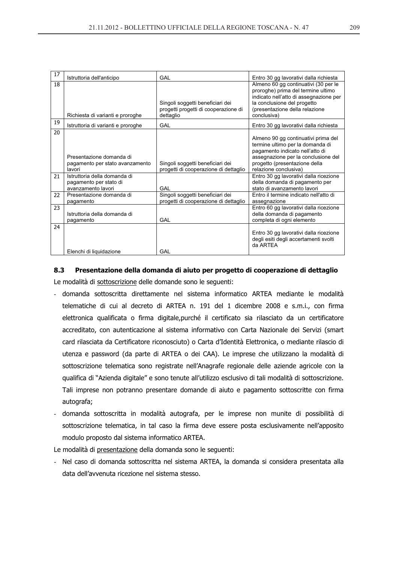| 17 | Istruttoria dell'anticipo                                                    | GAL                                                                                   | Entro 30 gg lavorativi dalla richiesta                                                                                                                                                                      |
|----|------------------------------------------------------------------------------|---------------------------------------------------------------------------------------|-------------------------------------------------------------------------------------------------------------------------------------------------------------------------------------------------------------|
| 18 | Richiesta di varianti e proroghe                                             | Singoli soggetti beneficiari dei<br>progetti progetti di cooperazione di<br>dettaglio | Almeno 60 gg continuativi (30 per le<br>proroghe) prima del termine ultimo<br>indicato nell'atto di assegnazione per<br>la conclusione del progetto<br>(presentazione della relazione<br>conclusiva)        |
| 19 | Istruttoria di varianti e proroghe                                           | GAL                                                                                   | Entro 30 gg lavorativi dalla richiesta                                                                                                                                                                      |
| 20 | Presentazione domanda di<br>pagamento per stato avanzamento<br>lavori        | Singoli soggetti beneficiari dei<br>progetti di cooperazione di dettaglio             | Almeno 90 gg continuativi prima del<br>termine ultimo per la domanda di<br>pagamento indicato nell'atto di<br>assegnazione per la conclusione del<br>progetto (presentazione della<br>relazione conclusiva) |
| 21 | Istruttoria della domanda di<br>pagamento per stato di<br>avanzamento lavori | GAI                                                                                   | Entro 30 gg lavorativi dalla ricezione<br>della domanda di pagamento per<br>stato di avanzamento lavori                                                                                                     |
| 22 | Presentazione domanda di<br>pagamento                                        | Singoli soggetti beneficiari dei<br>progetti di cooperazione di dettaglio             | Entro il termine indicato nell'atto di<br>assegnazione                                                                                                                                                      |
| 23 | Istruttoria della domanda di<br>pagamento                                    | GAL                                                                                   | Entro 60 gg lavorativi dalla ricezione<br>della domanda di pagamento<br>completa di ogni elemento                                                                                                           |
| 24 | Elenchi di liquidazione                                                      | GAL                                                                                   | Entro 30 gg lavorativi dalla ricezione<br>degli esiti degli accertamenti svolti<br>da ARTFA                                                                                                                 |

# **8.3** Presentazione della domanda di aiuto per progetto di cooperazione di dettaglio

Le modalità di sottoscrizione delle domande sono le seguenti:

- domanda sottoscritta direttamente nel sistema informatico ARTEA mediante le modalità telematiche di cui al decreto di ARTEA n. 191 del 1 dicembre 2008 e s.m.i., con firma elettronica qualificata o firma digitale,purché il certificato sia rilasciato da un certificatore accreditato, con autenticazione al sistema informativo con Carta Nazionale dei Servizi (smart card rilasciata da Certificatore riconosciuto) o Carta d'Identità Elettronica, o mediante rilascio di utenza e password (da parte di ARTEA o dei CAA). Le imprese che utilizzano la modalità di sottoscrizione telematica sono registrate nell'Anagrafe regionale delle aziende agricole con la qualifica di "Azienda digitale" e sono tenute all'utilizzo esclusivo di tali modalità di sottoscrizione. Tali imprese non potranno presentare domande di aiuto e pagamento sottoscritte con firma autografa:
- domanda sottoscritta in modalità autografa, per le imprese non munite di possibilità di sottoscrizione telematica, in tal caso la firma deve essere posta esclusivamente nell'apposito modulo proposto dal sistema informatico ARTEA.

Le modalità di presentazione della domanda sono le seguenti:

- Nel caso di domanda sottoscritta nel sistema ARTEA, la domanda si considera presentata alla data dell'avvenuta ricezione nel sistema stesso.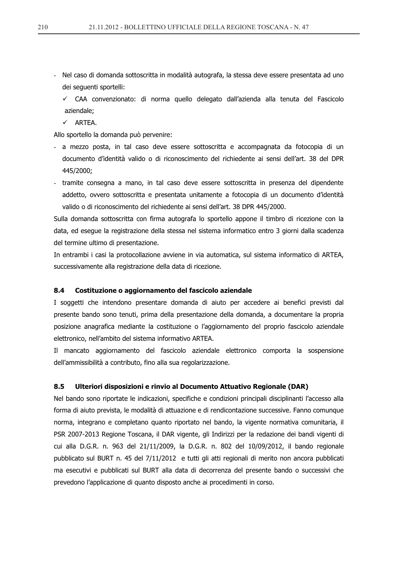- Nel caso di domanda sottoscritta in modalità autografa, la stessa deve essere presentata ad uno dei sequenti sportelli:
	- ← CAA convenzionato: di norma quello delegato dall'azienda alla tenuta del Fascicolo aziendale:
	- $\checkmark$  ARTEA.

Allo sportello la domanda può pervenire:

- a mezzo posta, in tal caso deve essere sottoscritta e accompagnata da fotocopia di un documento d'identità valido o di riconoscimento del richiedente ai sensi dell'art. 38 del DPR 445/2000;
- tramite consegna a mano, in tal caso deve essere sottoscritta in presenza del dipendente addetto, ovvero sottoscritta e presentata unitamente a fotocopia di un documento d'identità valido o di riconoscimento del richiedente ai sensi dell'art. 38 DPR 445/2000.

Sulla domanda sottoscritta con firma autografa lo sportello appone il timbro di ricezione con la data, ed esegue la registrazione della stessa nel sistema informatico entro 3 giorni dalla scadenza del termine ultimo di presentazione.

In entrambi i casi la protocollazione avviene in via automatica, sul sistema informatico di ARTEA, successivamente alla registrazione della data di ricezione.

#### 8.4 Costituzione o aggiornamento del fascicolo aziendale

I soggetti che intendono presentare domanda di aiuto per accedere ai benefici previsti dal presente bando sono tenuti, prima della presentazione della domanda, a documentare la propria posizione anagrafica mediante la costituzione o l'aggiornamento del proprio fascicolo aziendale elettronico, nell'ambito del sistema informativo ARTEA.

Il mancato aggiornamento del fascicolo aziendale elettronico comporta la sospensione dell'ammissibilità a contributo, fino alla sua regolarizzazione.

#### 8.5 Ulteriori disposizioni e rinvio al Documento Attuativo Regionale (DAR)

Nel bando sono riportate le indicazioni, specifiche e condizioni principali disciplinanti l'accesso alla forma di aiuto prevista, le modalità di attuazione e di rendicontazione successive. Fanno comunque norma, integrano e completano quanto riportato nel bando, la vigente normativa comunitaria, il PSR 2007-2013 Regione Toscana, il DAR vigente, gli Indirizzi per la redazione dei bandi vigenti di cui alla D.G.R. n. 963 del 21/11/2009, la D.G.R. n. 802 del 10/09/2012, il bando regionale pubblicato sul BURT n. 45 del 7/11/2012 e tutti gli atti regionali di merito non ancora pubblicati ma esecutivi e pubblicati sul BURT alla data di decorrenza del presente bando o successivi che prevedono l'applicazione di quanto disposto anche ai procedimenti in corso.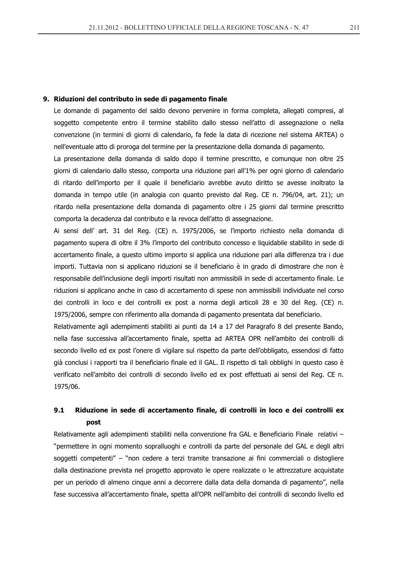### 9. Riduzioni del contributo in sede di pagamento finale

Le domande di pagamento del saldo devono pervenire in forma completa, allegati compresi, al soggetto competente entro il termine stabilito dallo stesso nell'atto di assegnazione o nella convenzione (in termini di giorni di calendario, fa fede la data di ricezione nel sistema ARTEA) o nell'eventuale atto di proroga del termine per la presentazione della domanda di pagamento.

La presentazione della domanda di saldo dopo il termine prescritto, e comunque non oltre 25 giorni di calendario dallo stesso, comporta una riduzione pari all'1% per ogni giorno di calendario di ritardo dell'importo per il quale il beneficiario avrebbe avuto diritto se avesse inoltrato la domanda in tempo utile (in analogia con quanto previsto dal Reg. CE n. 796/04, art. 21); un ritardo nella presentazione della domanda di pagamento oltre i 25 giorni dal termine prescritto comporta la decadenza dal contributo e la revoca dell'atto di assegnazione.

Ai sensi dell' art. 31 del Reg. (CE) n. 1975/2006, se l'importo richiesto nella domanda di pagamento supera di oltre il 3% l'importo del contributo concesso e liquidabile stabilito in sede di accertamento finale, a questo ultimo importo si applica una riduzione pari alla differenza tra i due importi. Tuttavia non si applicano riduzioni se il beneficiario è in grado di dimostrare che non è responsabile dell'inclusione degli importi risultati non ammissibili in sede di accertamento finale. Le riduzioni si applicano anche in caso di accertamento di spese non ammissibili individuate nel corso dei controlli in loco e dei controlli ex post a norma degli articoli 28 e 30 del Reg. (CE) n. 1975/2006, sempre con riferimento alla domanda di pagamento presentata dal beneficiario.

Relativamente agli adempimenti stabiliti ai punti da 14 a 17 del Paragrafo 8 del presente Bando, nella fase successiva all'accertamento finale, spetta ad ARTEA OPR nell'ambito dei controlli di secondo livello ed ex post l'onere di vigilare sul rispetto da parte dell'obbligato, essendosi di fatto già conclusi i rapporti tra il beneficiario finale ed il GAL. Il rispetto di tali obblighi in questo caso è verificato nell'ambito dei controlli di secondo livello ed ex post effettuati ai sensi del Reg. CE n. 1975/06.

### $9.1$ Riduzione in sede di accertamento finale, di controlli in loco e dei controlli ex post

Relativamente agli adempimenti stabiliti nella convenzione fra GAL e Beneficiario Finale relativi -"permettere in ogni momento sopralluoghi e controlli da parte del personale del GAL e degli altri" soggetti competenti" – "non cedere a terzi tramite transazione ai fini commerciali o distogliere dalla destinazione prevista nel progetto approvato le opere realizzate o le attrezzature acquistate per un periodo di almeno cinque anni a decorrere dalla data della domanda di pagamento", nella fase successiva all'accertamento finale, spetta all'OPR nell'ambito dei controlli di secondo livello ed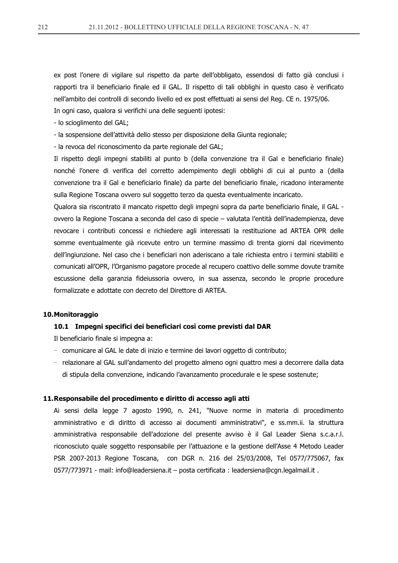ex post l'onere di vigilare sul rispetto da parte dell'obbligato, essendosi di fatto già conclusi i rapporti tra il beneficiario finale ed il GAL. Il rispetto di tali obblighi in questo caso è verificato nell'ambito dei controlli di secondo livello ed ex post effettuati ai sensi del Reg. CE n. 1975/06.

In ogni caso, qualora si verifichi una delle seguenti ipotesi: - lo scioglimento del GAL;

- la sospensione dell'attività dello stesso per disposizione della Giunta regionale;

- la revoca del riconoscimento da parte regionale del GAL;

Il rispetto degli impegni stabiliti al punto b (della convenzione tra il Gal e beneficiario finale) nonché l'onere di verifica del corretto adempimento degli obblighi di cui al punto a (della convenzione tra il Gal e beneficiario finale) da parte del beneficiario finale, ricadono interamente sulla Regione Toscana ovvero sul soggetto terzo da questa eventualmente incaricato.

Qualora sia riscontrato il mancato rispetto degli impegni sopra da parte beneficiario finale, il GAL ovvero la Regione Toscana a seconda del caso di specie - valutata l'entità dell'inadempienza, deve revocare i contributi concessi e richiedere agli interessati la restituzione ad ARTEA OPR delle somme eventualmente già ricevute entro un termine massimo di trenta giorni dal ricevimento dell'ingiunzione. Nel caso che i beneficiari non aderiscano a tale richiesta entro i termini stabiliti e comunicati all'OPR, l'Organismo pagatore procede al recupero coattivo delle somme dovute tramite escussione della garanzia fideiussoria ovvero, in sua assenza, secondo le proprie procedure formalizzate e adottate con decreto del Direttore di ARTEA.

### 10. Monitoraggio

# 10.1 Impegni specifici dei beneficiari così come previsti dal DAR

Il beneficiario finale si impegna a:

- comunicare al GAL le date di inizio e termine dei lavori oggetto di contributo;
- relazionare al GAL sull'andamento del progetto almeno ogni quattro mesi a decorrere dalla data di stipula della convenzione, indicando l'avanzamento procedurale e le spese sostenute;

### 11. Responsabile del procedimento e diritto di accesso agli atti

Ai sensi della legge 7 agosto 1990, n. 241, "Nuove norme in materia di procedimento amministrativo e di diritto di accesso ai documenti amministrativi", e ss.mm.ii. la struttura amministrativa responsabile dell'adozione del presente avviso è il Gal Leader Siena s.c.a.r.l. riconosciuto quale soggetto responsabile per l'attuazione e la gestione dell'Asse 4 Metodo Leader PSR 2007-2013 Regione Toscana, con DGR n. 216 del 25/03/2008, Tel 0577/775067, fax 0577/773971 - mail: info@leadersiena.it - posta certificata : leadersiena@cgn.legalmail.it .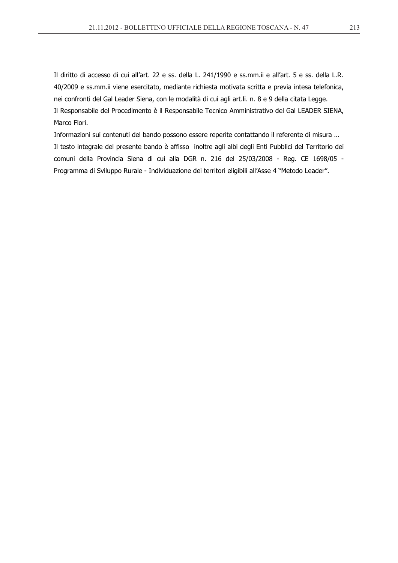Il diritto di accesso di cui all'art. 22 e ss. della L. 241/1990 e ss.mm.ii e all'art. 5 e ss. della L.R. 40/2009 e ss.mm.ii viene esercitato, mediante richiesta motivata scritta e previa intesa telefonica, nei confronti del Gal Leader Siena, con le modalità di cui agli art.li. n. 8 e 9 della citata Legge. Il Responsabile del Procedimento è il Responsabile Tecnico Amministrativo del Gal LEADER SIENA, Marco Flori.

Informazioni sui contenuti del bando possono essere reperite contattando il referente di misura ... Il testo integrale del presente bando è affisso inoltre agli albi degli Enti Pubblici del Territorio dei comuni della Provincia Siena di cui alla DGR n. 216 del 25/03/2008 - Reg. CE 1698/05 -Programma di Sviluppo Rurale - Individuazione dei territori eligibili all'Asse 4 "Metodo Leader".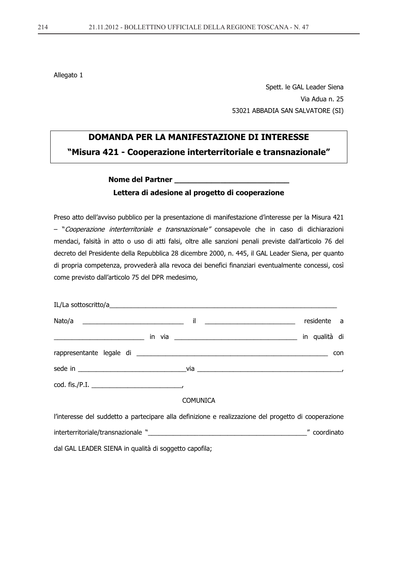Allegato 1

Spett. le GAL Leader Siena Via Adua n. 25 53021 ABBADIA SAN SALVATORE (SI)

# **DOMANDA PER LA MANIFESTAZIONE DI INTERESSE** "Misura 421 - Cooperazione interterritoriale e transnazionale"

# Nome del Partner Lettera di adesione al progetto di cooperazione

Preso atto dell'avviso pubblico per la presentazione di manifestazione d'interesse per la Misura 421 - "Cooperazione interterritoriale e transnazionale" consapevole che in caso di dichiarazioni mendaci, falsità in atto o uso di atti falsi, oltre alle sanzioni penali previste dall'articolo 76 del decreto del Presidente della Repubblica 28 dicembre 2000, n. 445, il GAL Leader Siena, per quanto di propria competenza, provvederà alla revoca dei benefici finanziari eventualmente concessi, così come previsto dall'articolo 75 del DPR medesimo,

|                                                                                                         | <u>il ______________________</u> | residente a |
|---------------------------------------------------------------------------------------------------------|----------------------------------|-------------|
|                                                                                                         |                                  |             |
|                                                                                                         |                                  | con         |
|                                                                                                         |                                  |             |
|                                                                                                         |                                  |             |
|                                                                                                         | <b>COMUNICA</b>                  |             |
| <u> Marracese del cadderre o ascresione elle definitione è asclimento de del ancorrire di secondato</u> |                                  |             |

l'interesse del suddetto a partecipare alla definizione e realizzazione del progetto di cooperazione coordinato dal GAL LEADER SIENA in qualità di soggetto capofila;